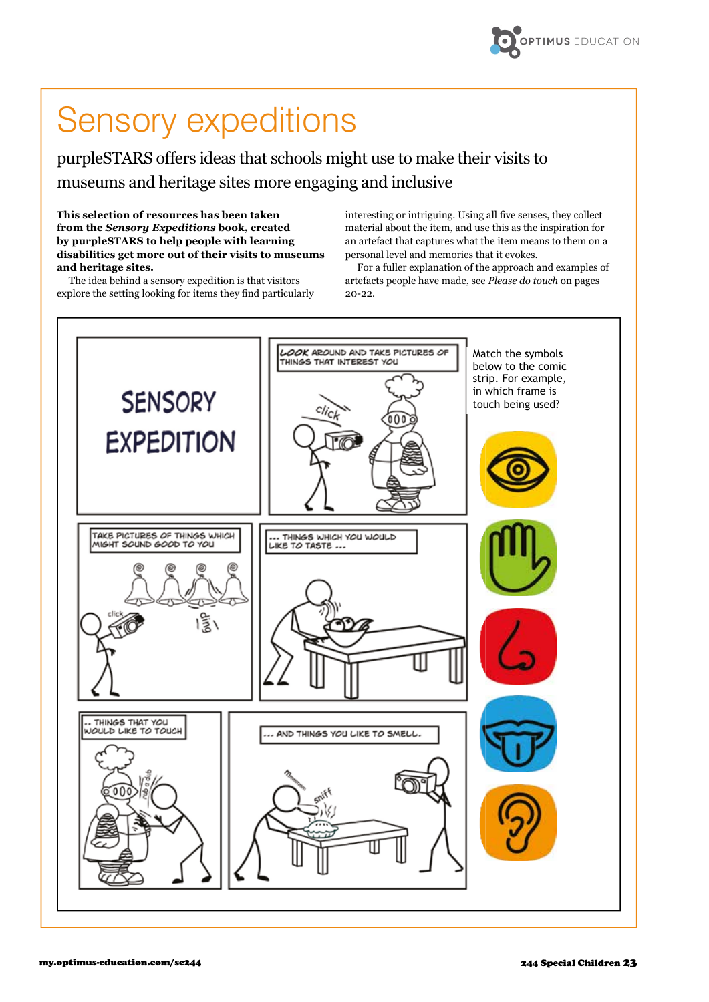

## Sensory expeditions

purpleSTARS offers ideas that schools might use to make their visits to museums and heritage sites more engaging and inclusive

**This selection of resources has been taken from the** *Sensory Expeditions* **book, created by purpleSTARS to help people with learning disabilities get more out of their visits to museums and heritage sites.** 

The idea behind a sensory expedition is that visitors explore the setting looking for items they find particularly interesting or intriguing. Using all five senses, they collect material about the item, and use this as the inspiration for an artefact that captures what the item means to them on a personal level and memories that it evokes.

For a fuller explanation of the approach and examples of artefacts people have made, see *Please do touch* on pages 20-22.

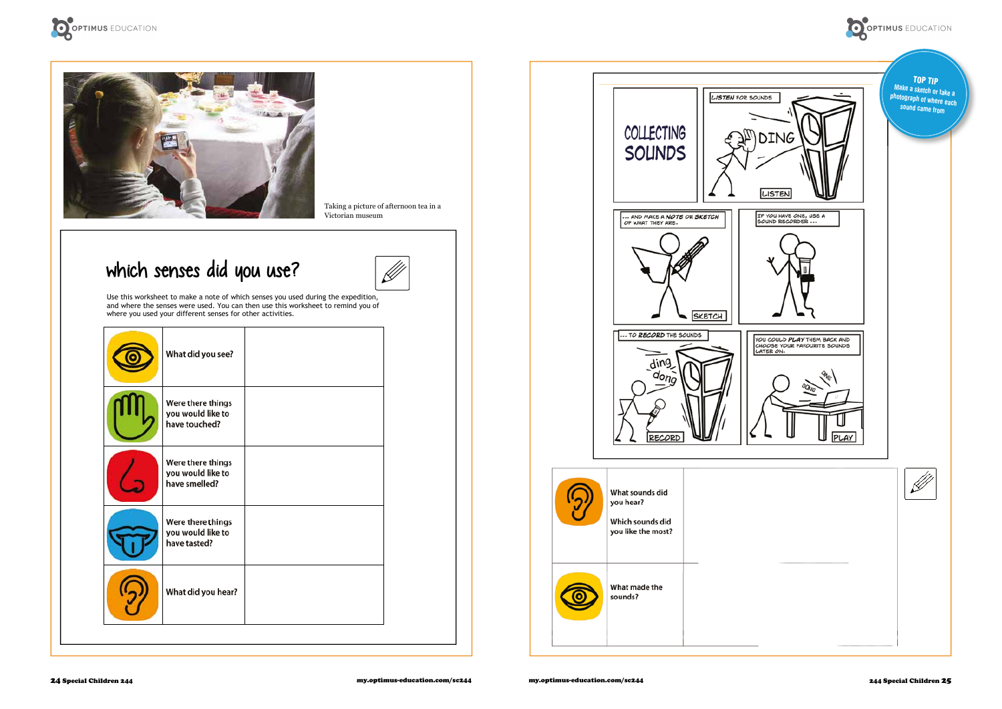Use this worksheet to make a note of which senses you used during the expedition, and where the senses were used. You can then use this worksheet to remind you of where you used your different senses for other activities.

| What did you see?                                       |  |
|---------------------------------------------------------|--|
| Were there things<br>you would like to<br>have touched? |  |
| Were there things<br>you would like to<br>have smelled? |  |
| Were there things<br>you would like to<br>have tasted?  |  |
| What did you hear?                                      |  |
|                                                         |  |





Taking a picture of afternoon tea in a Victorian museum

## which senses did you use?